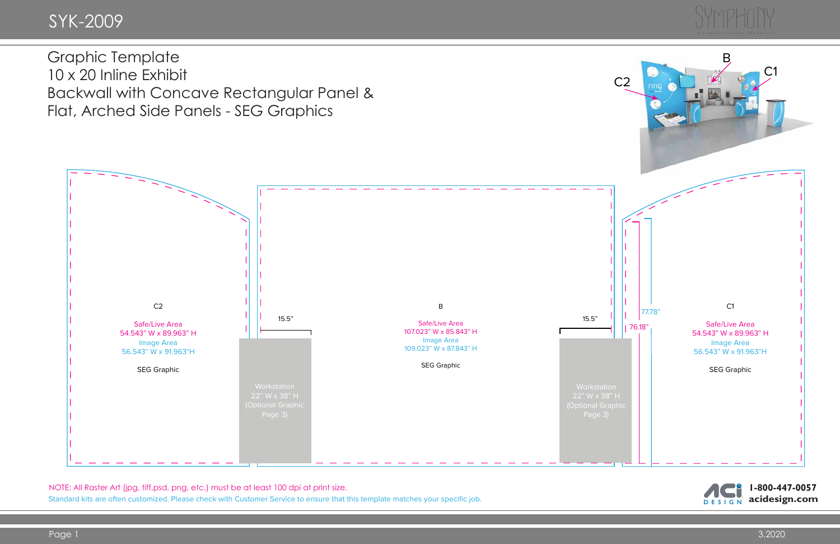NOTE: All Raster Art (jpg, tiff,psd, png, etc.) must be at least 100 dpi at print size.

Standard kits are often customized. Please check with Customer Service to ensure that this template matches your specific job.



10 x 20 Inline Exhibit Backwall with Concave Rectangular Panel & Flat, Arched Side Panels - SEG Graphics

> **1-800-447-0057 acidesign.com**DESIGN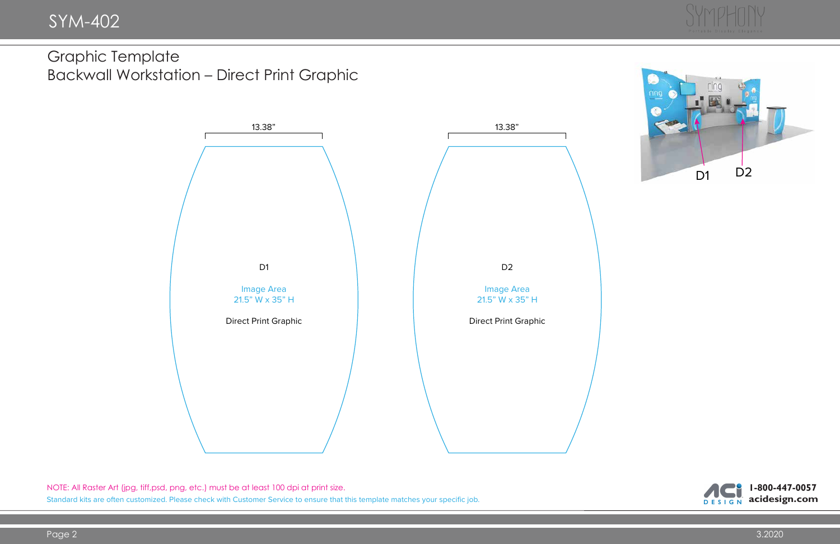

NOTE: All Raster Art (jpg, tiff,psd, png, etc.) must be at least 100 dpi at print size. Standard kits are often customized. Please check with Customer Service to ensure that this template matches your specific job.



Graphic Template Backwall Workstation – Direct Print Graphic



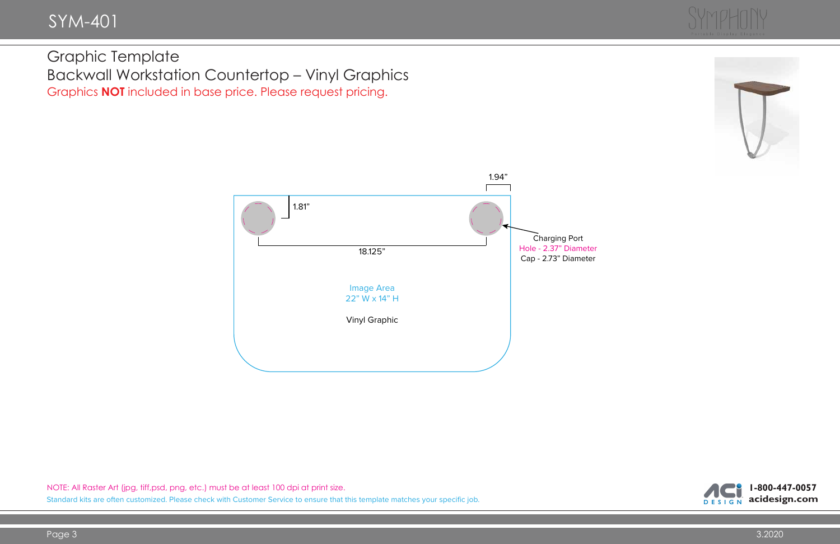## SYM-401

## Graphic Template Backwall Workstation Countertop – Vinyl Graphics Graphics **NOT** included in base price. Please request pricing.







NOTE: All Raster Art (jpg, tiff,psd, png, etc.) must be at least 100 dpi at print size. Standard kits are often customized. Please check with Customer Service to ensure that this template matches your specific job.